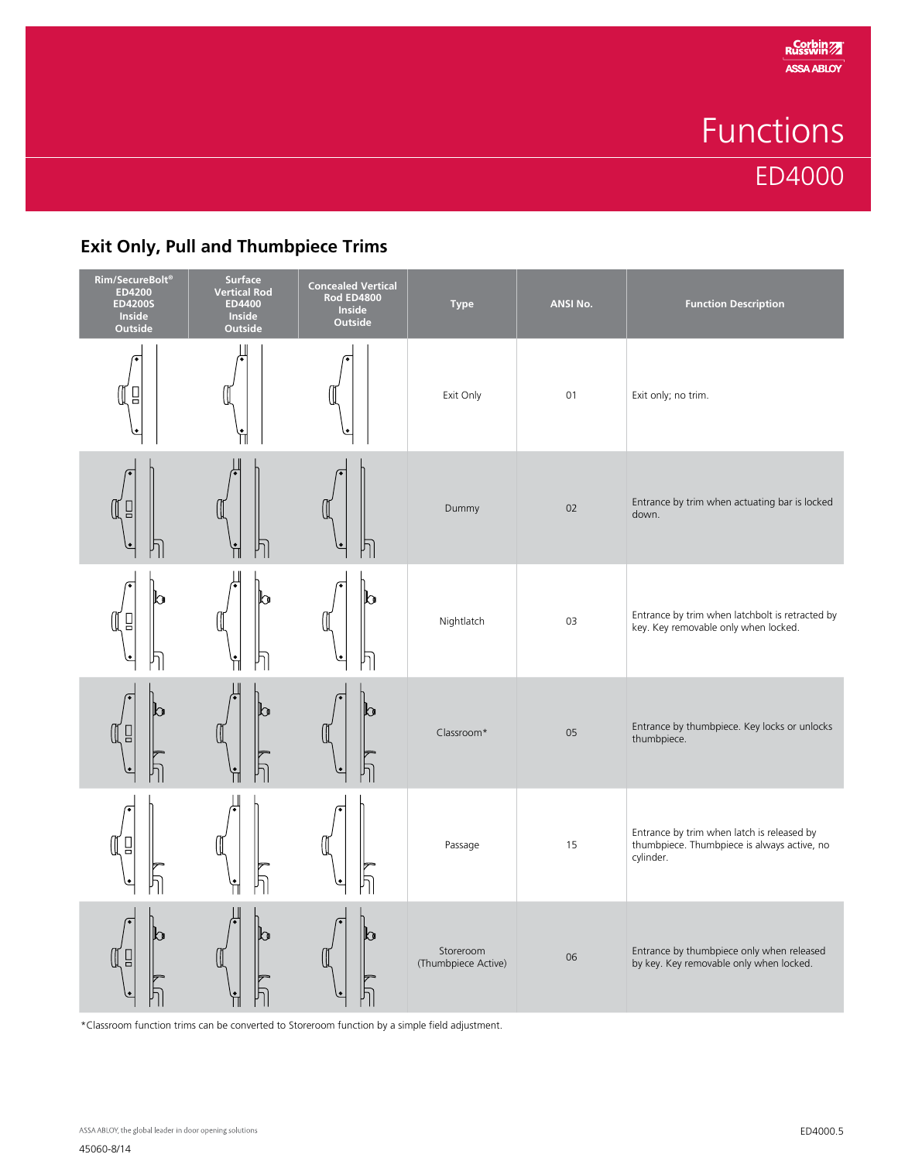## Functions ED4000

## **Exit Only, Pull and Thumbpiece Trims**

| Rim/SecureBolt <sup>®</sup><br><b>ED4200</b><br><b>ED4200S</b><br>Inside<br><b>Outside</b> | Surface<br><b>Vertical Rod</b><br>ED4400<br>Inside<br>Outside | <b>Concealed Vertical</b><br><b>Rod ED4800</b><br>Inside<br><b>Outside</b> | <b>Type</b>                      | ANSI No. | <b>Function Description</b>                                                                            |
|--------------------------------------------------------------------------------------------|---------------------------------------------------------------|----------------------------------------------------------------------------|----------------------------------|----------|--------------------------------------------------------------------------------------------------------|
| 밉<br>W                                                                                     |                                                               |                                                                            | Exit Only                        | 01       | Exit only; no trim.                                                                                    |
| $\Box$<br>Щ                                                                                |                                                               | וך                                                                         | Dummy                            | 02       | Entrance by trim when actuating bar is locked<br>down.                                                 |
| ᢛ<br>h<br>ֵי ⊔ַ<br>0<br>١¢                                                                 | ∩                                                             | b                                                                          | Nightlatch                       | 03       | Entrance by trim when latchbolt is retracted by<br>key. Key removable only when locked.                |
| h<br>Щ<br>$\Box$                                                                           |                                                               | h                                                                          | Classroom*                       | 05       | Entrance by thumbpiece. Key locks or unlocks<br>thumbpiece.                                            |
| $\begin{array}{ccc} \square \end{array}$<br>Œ<br>$\bullet$                                 |                                                               | !<br>h                                                                     | Passage                          | 15       | Entrance by trim when latch is released by<br>thumbpiece. Thumbpiece is always active, no<br>cylinder. |
| ్<br>N<br>$\Box$<br>Щ                                                                      |                                                               | n<br>U                                                                     | Storeroom<br>(Thumbpiece Active) | 06       | Entrance by thumbpiece only when released<br>by key. Key removable only when locked.                   |

\*Classroom function trims can be converted to Storeroom function by a simple field adjustment.